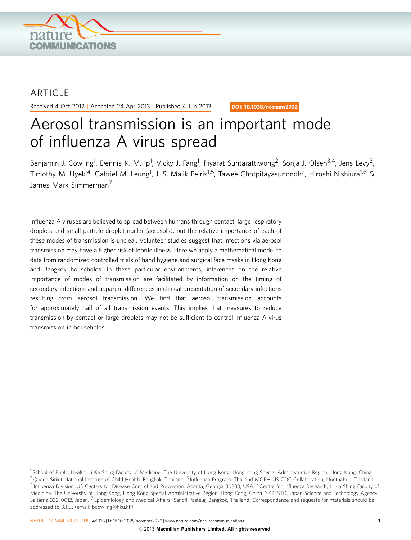

## **ARTICLE**

Received 4 Oct 2012 | Accepted 24 Apr 2013 | Published 4 Jun 2013

DOI: 10.1038/ncomms2922

# Aerosol transmission is an important mode of influenza A virus spread

Benjamin J. Cowling<sup>1</sup>, Dennis K. M. Ip<sup>1</sup>, Vicky J. Fang<sup>1</sup>, Piyarat Suntarattiwong<sup>2</sup>, Sonja J. Olsen<sup>3,4</sup>, Jens Levy<sup>3</sup>, Timothy M. Uyeki<sup>4</sup>, Gabriel M. Leung<sup>1</sup>, J. S. Malik Peiris<sup>1,5</sup>, Tawee Chotpitayasunondh<sup>2</sup>, Hiroshi Nishiura<sup>1,6</sup> & James Mark Simmerman7

Influenza A viruses are believed to spread between humans through contact, large respiratory droplets and small particle droplet nuclei (aerosols), but the relative importance of each of these modes of transmission is unclear. Volunteer studies suggest that infections via aerosol transmission may have a higher risk of febrile illness. Here we apply a mathematical model to data from randomized controlled trials of hand hygiene and surgical face masks in Hong Kong and Bangkok households. In these particular environments, inferences on the relative importance of modes of transmission are facilitated by information on the timing of secondary infections and apparent differences in clinical presentation of secondary infections resulting from aerosol transmission. We find that aerosol transmission accounts for approximately half of all transmission events. This implies that measures to reduce transmission by contact or large droplets may not be sufficient to control influenza A virus transmission in households.

NATURE COMMUNICATIONS | 4:1935 | DOI: 10.1038/ncomms2922 | [www.nature.com/naturecommunications](http://www.nature.com/naturecommunications) 1

<sup>&</sup>lt;sup>1</sup> School of Public Health, Li Ka Shing Faculty of Medicine, The University of Hong Kong, Hong Kong Special Administrative Region, Hong Kong, China. <sup>2</sup> Queen Sirikit National Institute of Child Health, Bangkok, Thailand. <sup>3</sup> Influenza Program, Thailand MOPH-US CDC Collaboration, Nonthaburi, Thailand. <sup>4</sup> Influenza Division, US Centers for Disease Control and Prevention, Atlanta, Georgia 30333, USA. <sup>5</sup> Centre for Influenza Research, Li Ka Shing Faculty of Medicine, The University of Hong Kong, Hong Kong Special Administrative Region, Hong Kong, China. <sup>6</sup> PRESTO, Japan Science and Technology Agency, Saitama 332-0012, Japan. <sup>7</sup> Epidemiology and Medical Affairs, Sanofi Pasteur, Bangkok, Thailand. Correspondence and requests for materials should be addressed to B.J.C. (email: [bcowling@hku.hk](mailto:bcowling@hku.hk)).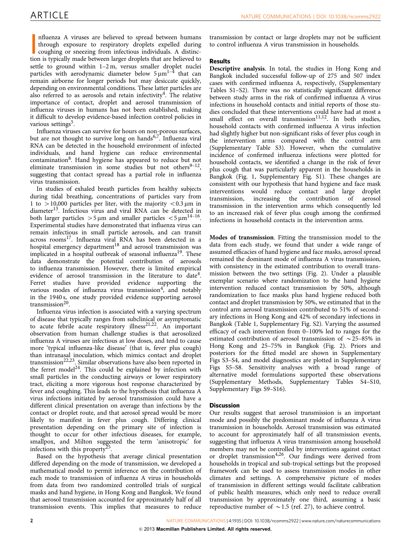nfluenza A viruses are believed to spread between humans through exposure to respiratory droplets expelled during coughing or sneezing from infectious individuals. A distinction is typically made between larger droplets th nfluenza A viruses are believed to spread between humans through exposure to respiratory droplets expelled during coughing or sneezing from infectious individuals. A distincsettle to ground within 1–2 m, versus smaller droplet nuclei particles with aerodynamic diameter below  $5 \mu m^{1-\frac{1}{2}}$  that can remain airborne for longer periods but may desiccate quickly, depending on environmental conditions. These latter particles are also referred to as aerosols and retain infectivity<sup>[4](#page-4-0)</sup>. The relative importance of contact, droplet and aerosol transmission of influenza viruses in humans has not been established, making it difficult to develop evidence-based infection control policies in various settings<sup>[5](#page-4-0)</sup>.

Influenza viruses can survive for hours on non-porous surfaces, but are not thought to survive long on hands<sup>6,7</sup>. Influenza viral RNA can be detected in the household environment of infected individuals, and hand hygiene can reduce environmental contamination<sup>8</sup>. Hand hygiene has appeared to reduce but not eliminate transmission in some studies but not others<sup>9–12</sup>, suggesting that contact spread has a partial role in influenza virus transmission.

In studies of exhaled breath particles from healthy subjects during tidal breathing, concentrations of particles vary from 1 to  $>$ 10,000 particles per liter, with the majority  $<$ 0.3 µm in diameter<sup>[13](#page-4-0)</sup>. Infectious virus and viral RNA can be detected in both larger particles  $>$  5 µm and smaller particles  $<$  5 µm<sup>14–16</sup>. Experimental studies have demonstrated that influenza virus can remain infectious in small particle aerosols, and can transit across rooms<sup>[17](#page-4-0)</sup>. Influenza viral RNA has been detected in a hospital emergency department<sup>[18](#page-4-0)</sup> and aerosol transmission was implicated in a hospital outbreak of seasonal influenza<sup>19</sup>. These data demonstrate the potential contribution of aerosols to influenza transmission. However, there is limited empirical evidence of aerosol transmission in the literature to date<sup>4</sup>. Ferret studies have provided evidence supporting the various modes of influenza virus transmission<sup>[4](#page-4-0)</sup>, and notably in the 1940 s, one study provided evidence supporting aerosol transmission $20$ .

Influenza virus infection is associated with a varying spectrum of disease that typically ranges from subclinical or asymptomatic to acute febrile acute respiratory illness<sup>21,22</sup>. An important observation from human challenge studies is that aerosolized influenza A viruses are infectious at low doses, and tend to cause more 'typical influenza-like disease' (that is, fever plus cough) than intranasal inoculation, which mimics contact and droplet transmission<sup>[22,23](#page-4-0)</sup>. Similar observations have also been reported in the ferret model<sup>24</sup>. This could be explained by infection with small particles in the conducting airways or lower respiratory tract, eliciting a more vigorous host response characterized by fever and coughing. This leads to the hypothesis that influenza A virus infections initiated by aerosol transmission could have a different clinical presentation on average than infections by the contact or droplet route, and that aerosol spread would be more likely to manifest in fever plus cough. Differing clinical presentation depending on the primary site of infection is thought to occur for other infectious diseases, for example, smallpox, and Milton suggested the term 'anisotropic' for infections with this property<sup>2</sup>

Based on the hypothesis that average clinical presentation differed depending on the mode of transmission, we developed a mathematical model to permit inference on the contribution of each mode to transmission of influenza A virus in households from data from two randomized controlled trials of surgical masks and hand hygiene, in Hong Kong and Bangkok. We found that aerosol transmission accounted for approximately half of all transmission events. This implies that measures to reduce

transmission by contact or large droplets may not be sufficient to control influenza A virus transmission in households.

#### Results

Descriptive analysis. In total, the studies in Hong Kong and Bangkok included successful follow-up of 275 and 507 index cases with confirmed influenza A, respectively, (Supplementary Tables S1–S2). There was no statistically significant difference between study arms in the risk of confirmed influenza A virus infections in household contacts and initial reports of those studies concluded that these interventions could have had at most a small effect on overall transmission<sup>[11,12](#page-4-0)</sup>. In both studies, household contacts with confirmed influenza A virus infection had slightly higher but non-significant risks of fever plus cough in the intervention arms compared with the control arm (Supplementary Table S3). However, when the cumulative incidence of confirmed influenza infections were plotted for household contacts, we identified a change in the risk of fever plus cough that was particularly apparent in the households in Bangkok [\(Fig. 1,](#page-2-0) Supplementary Fig. S1). These changes are consistent with our hypothesis that hand hygiene and face mask interventions would reduce contact and large droplet transmission, increasing the contribution of aerosol transmission in the intervention arms which consequently led to an increased risk of fever plus cough among the confirmed infections in household contacts in the intervention arms.

Modes of transmission. Fitting the transmission model to the data from each study, we found that under a wide range of assumed efficacies of hand hygiene and face masks, aerosol spread remained the dominant mode of influenza A virus transmission, with consistency in the estimated contribution to overall transmission between the two settings [\(Fig. 2\)](#page-2-0). Under a plausible exemplar scenario where randomization to the hand hygiene intervention reduced contact transmission by 50%, although randomization to face masks plus hand hygiene reduced both contact and droplet transmission by 50%, we estimated that in the control arm aerosol transmission contributed to 51% of secondary infections in Hong Kong and 42% of secondary infections in Bangkok [\(Table 1,](#page-3-0) Supplementary Fig. S2). Varying the assumed efficacy of each intervention from 0–100% led to ranges for the estimated contribution of aerosol transmission of  $\sim$  25–85% in Hong Kong and 25–75% in Bangkok ([Fig. 2\)](#page-2-0). Priors and posteriors for the fitted model are shown in Supplementary Figs S3–S4, and model diagnostics are plotted in Supplementary Figs S5–S8. Sensitivity analyses with a broad range of alternative model formulations supported these observations (Supplementary Methods, Supplementary Tables S4–S10, Supplementary Figs S9–S16).

### **Discussion**

Our results suggest that aerosol transmission is an important mode and possibly the predominant mode of influenza A virus transmission in households. Aerosol transmission was estimated to account for approximately half of all transmission events, suggesting that influenza A virus transmission among household members may not be controlled by interventions against contact or droplet transmission<sup>[4,26](#page-4-0)</sup>. Our findings were derived from households in tropical and sub-tropical settings but the proposed framework can be used to assess transmission modes in other climates and settings. A comprehensive picture of modes of transmission in different settings would facilitate calibration of public health measures, which only need to reduce overall transmission by approximately one third, assuming a basic reproductive number of  $\sim$  1.5 [\(ref. 27\)](#page-4-0), to achieve control.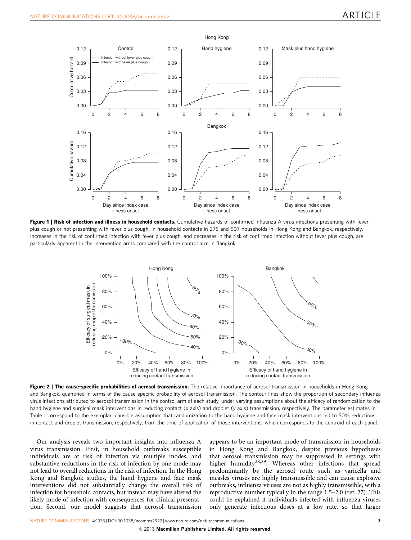<span id="page-2-0"></span>

Figure 1 | Risk of infection and illness in household contacts. Cumulative hazards of confirmed influenza A virus infections presenting with fever plus cough or not presenting with fever plus cough, in household contacts in 275 and 507 households in Hong Kong and Bangkok, respectively. Increases in the risk of confirmed infection with fever plus cough, and decreases in the risk of confirmed infection without fever plus cough, are particularly apparent in the intervention arms compared with the control arm in Bangkok.



Figure 2 | The cause-specific probabilities of aerosol transmission. The relative importance of aerosol transmission in households in Hong Kong and Bangkok, quantified in terms of the cause-specific probability of aerosol transmission. The contour lines show the proportion of secondary influenza virus infections attributed to aerosol transmission in the control arm of each study, under varying assumptions about the efficacy of randomization to the hand hygiene and surgical mask interventions in reducing contact (x axis) and droplet (y axis) transmission, respectively. The parameter estimates in [Table 1](#page-3-0) correspond to the exemplar plausible assumption that randomization to the hand hygiene and face mask interventions led to 50% reductions

Our analysis reveals two important insights into influenza A virus transmission. First, in household outbreaks susceptible individuals are at risk of infection via multiple modes, and substantive reductions in the risk of infection by one mode may not lead to overall reductions in the risk of infection. In the Hong Kong and Bangkok studies, the hand hygiene and face mask interventions did not substantially change the overall risk of infection for household contacts, but instead may have altered the likely mode of infection with consequences for clinical presentation. Second, our model suggests that aerosol transmission

appears to be an important mode of transmission in households in Hong Kong and Bangkok, despite previous hypotheses that aerosol transmission may be suppressed in settings with higher humidity<sup>28,29</sup>. Whereas other infections that spread predominantly by the aerosol route such as varicella and measles viruses are highly transmissible and can cause explosive outbreaks, influenza viruses are not as highly transmissible, with a reproductive number typically in the range 1.5–2.0 ([ref. 27\)](#page-4-0). This could be explained if individuals infected with influenza viruses only generate infectious doses at a low rate, so that larger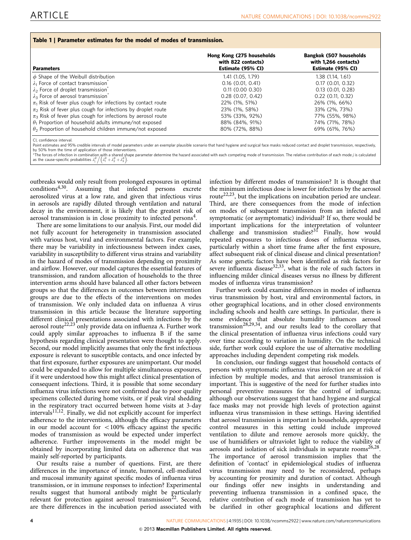<span id="page-3-0"></span>

| <b>Parameters</b>                                                           | Hong Kong (275 households<br>with 822 contacts)<br>Estimate (95% CI) | <b>Bangkok (507 households</b><br>with 1,266 contacts)<br>Estimate (95% CI) |
|-----------------------------------------------------------------------------|----------------------------------------------------------------------|-----------------------------------------------------------------------------|
| $\phi$ Shape of the Weibull distribution                                    | 1.41 (1.05, 1.79)                                                    | 1.38 (1.14, 1.61)                                                           |
| $\lambda_1$ Force of contact transmission                                   | $0.16$ (0.01, 0.41)                                                  | 0.17(0.01, 0.32)                                                            |
| $\lambda_2$ Force of droplet transmission                                   | 0.11(0.000.30)                                                       | 0.13(0.01, 0.28)                                                            |
| $\lambda_3$ Force of aerosol transmission                                   | 0.28(0.07, 0.42)                                                     | $0.22$ (0.11, 0.32)                                                         |
| $\pi_1$ Risk of fever plus cough for infections by contact route            | 22% (1%, 51%)                                                        | 26% (1%, 66%)                                                               |
| $\pi$ <sub>2</sub> Risk of fever plus cough for infections by droplet route | 23% (1%, 58%)                                                        | 33% (2%, 73%)                                                               |
| $\pi$ <sub>3</sub> Risk of fever plus cough for infections by aerosol route | 53% (33%, 92%)                                                       | 77% (55%, 98%)                                                              |
| $\theta_1$ Proportion of household adults immune/not exposed                | 88% (84%, 91%)                                                       | 74% (71%, 78%)                                                              |
| $\theta_2$ Proportion of household children immune/not exposed              | 80% (72%, 88%)                                                       | 69% (61%, 76%)                                                              |

CI, confidence interval.<br>Point estimates and 95% credible intervals of model parameters under an exemplar plausible scenario that hand hygiene and surgical face masks reduced contact and droplet transmission, respectively, by 50% from the time of application of those interventions.

\*The forces of infection in combination with a shared shape parameter determine the hazard associated with each competing mode of transmission. The relative contribution of each mode j is calculated . -The forces of infection in combination with a shared share<br>as the cause-specific probabilities  $\lambda_j^\phi / (\lambda_1^\phi + \lambda_2^\phi + \lambda_3^\phi)$ .

outbreaks would only result from prolonged exposures in optimal conditions[4,30.](#page-4-0) Assuming that infected persons excrete aerosolized virus at a low rate, and given that infectious virus in aerosols are rapidly diluted through ventilation and natural decay in the environment, it is likely that the greatest risk of aerosol transmission is in close proximity to infected persons<sup>4</sup>.

Table 1 | Parameter estimates for the model of modes of transmission.

There are some limitations to our analysis. First, our model did not fully account for heterogeneity in transmission associated with various host, viral and environmental factors. For example, there may be variability in infectiousness between index cases, variability in susceptibility to different virus strains and variability in the hazard of modes of transmission depending on proximity and airflow. However, our model captures the essential features of transmission, and random allocation of households to the three intervention arms should have balanced all other factors between groups so that the differences in outcomes between intervention groups are due to the effects of the interventions on modes of transmission. We only included data on influenza A virus transmission in this article because the literature supporting different clinical presentations associated with infections by the aerosol route<sup>[22,23](#page-4-0)</sup> only provide data on influenza A. Further work could apply similar approaches to influenza B if the same hypothesis regarding clinical presentation were thought to apply. Second, our model implicitly assumes that only the first infectious exposure is relevant to susceptible contacts, and once infected by that first exposure, further exposures are unimportant. Our model could be expanded to allow for multiple simultaneous exposures, if it were understood how this might affect clinical presentation of consequent infections. Third, it is possible that some secondary influenza virus infections were not confirmed due to poor quality specimens collected during home visits, or if peak viral shedding in the respiratory tract occurred between home visits at 3-day intervals<sup>11,12</sup>. Finally, we did not explicitly account for imperfect adherence to the interventions, although the efficacy parameters in our model account for  $\langle 100\% \rangle$  efficacy against the specific modes of transmission as would be expected under imperfect adherence. Further improvements in the model might be obtained by incorporating limited data on adherence that was mainly self-reported by participants.

Our results raise a number of questions. First, are there differences in the importance of innate, humoral, cell-mediated and mucosal immunity against specific modes of influenza virus transmission, or in immune responses to infection? Experimental results suggest that humoral antibody might be particularly relevant for protection against aerosol transmission<sup>22</sup>. Second, are there differences in the incubation period associated with

infection by different modes of transmission? It is thought that the minimum infectious dose is lower for infections by the aerosol route<sup>22,23</sup>, but the implications on incubation period are unclear. Third, are there consequences from the mode of infection on modes of subsequent transmission from an infected and symptomatic (or asymptomatic) individual? If so, there would be important implications for the interpretation of volunteer challenge and transmission studies?<sup>[31](#page-4-0)</sup> Finally, how would repeated exposures to infectious doses of influenza viruses, particularly within a short time frame after the first exposure, affect subsequent risk of clinical disease and clinical presentation? As some genetic factors have been identified as risk factors for severe influenza disease<sup>[32,33](#page-4-0)</sup>, what is the role of such factors in influencing milder clinical diseases versus no illness by different modes of influenza virus transmission?

Further work could examine differences in modes of influenza virus transmission by host, viral and environmental factors, in other geographical locations, and in other closed environments including schools and health care settings. In particular, there is some evidence that absolute humidity influences aerosol transmission<sup>[28,29,34](#page-4-0)</sup>, and our results lead to the corollary that the clinical presentation of influenza virus infections could vary over time according to variation in humidity. On the technical side, further work could explore the use of alternative modelling approaches including dependent competing risk models.

In conclusion, our findings suggest that household contacts of persons with symptomatic influenza virus infection are at risk of infection by multiple modes, and that aerosol transmission is important. This is suggestive of the need for further studies into personal preventive measures for the control of influenza; although our observations suggest that hand hygiene and surgical face masks may not provide high levels of protection against influenza virus transmission in these settings. Having identified that aerosol transmission is important in households, appropriate control measures in this setting could include improved ventilation to dilute and remove aerosols more quickly, the use of humidifiers or ultraviolet light to reduce the viability of aerosols and isolation of sick individuals in separate rooms $^{26,28}$ . The importance of aerosol transmission implies that the definition of 'contact' in epidemiological studies of influenza virus transmission may need to be reconsidered, perhaps by accounting for proximity and duration of contact. Although our findings offer new insights in understanding and preventing influenza transmission in a confined space, the relative contribution of each mode of transmission has yet to be clarified in other geographical locations and different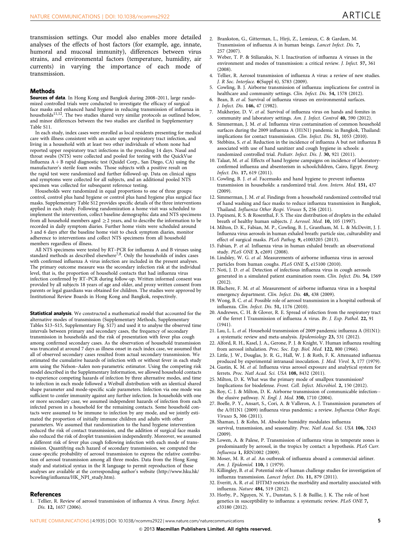<span id="page-4-0"></span>transmission settings. Our model also enables more detailed analyses of the effects of host factors (for example, age, innate, humoral and mucosal immunity), differences between virus strains, and environmental factors (temperature, humidity, air currents) in varying the importance of each mode of transmission.

#### Methods

Sources of data. In Hong Kong and Bangkok during 2008-2011, large randomized controlled trials were conducted to investigate the efficacy of surgical face masks and enhanced hand hygiene in reducing transmission of influenza in<br>households<sup>11,12</sup>. The two studies shared very similar protocols as outlined below, and minor differences between the two studies are clarified in Supplementary Table S11.

In each study, index cases were enrolled as local residents presenting for medical care with illness consistent with an acute upper respiratory tract infection, and living in a household with at least two other individuals of whom none had reported upper respiratory tract infections in the preceding 14 days. Nasal and throat swabs (NTS) were collected and pooled for testing with the QuickVue Influenza  $A + B$  rapid diagnostic test (Quidel Corp., San Diego, CA) using the manufacturer's sterile foam swabs. Those subjects with a positive result on the rapid test were randomized and further followed-up. Data on clinical signs and symptoms were collected for all subjects, and an additional pooled NTS specimen was collected for subsequent reference testing.

Households were randomized in equal proportions to one of three groups: control, control plus hand hygiene or control plus hand hygiene plus surgical face masks. Supplementary Table S12 provides specific details of the three interventions applied in each study. Following randomization a home visit was scheduled to implement the intervention, collect baseline demographic data and NTS specimens from all household members aged  $\geq$  2 years, and to describe the information to be recorded in daily symptom diaries. Further home visits were scheduled around 3 and 6 days after the baseline home visit to check symptom diaries, monitor adherence to interventions and collect NTS specimens from all household members regardless of illness.

All NTS specimens were tested by RT–PCR for influenza A and B viruses using standard methods as described elsewhere<sup>7,8</sup>. Only the households of index cases with confirmed influenza A virus infection are included in the present analyses. The primary outcome measure was the secondary infection risk at the individual level, that is, the proportion of household contacts that had influenza virus infection confirmed by RT–PCR during follow-up. Written informed consent was provided by all subjects 18 years of age and older, and proxy written consent from parents or legal guardians was obtained for children. The studies were approved by Institutional Review Boards in Hong Kong and Bangkok, respectively.

**Statistical analysis.** We constructed a mathematical model that accounted for the alternative modes of transmission (Supplementary Methods, Supplementary Tables S13–S15, Supplementary Fig. S17) and used it to analyse the observed time intervals between primary and secondary cases, the frequency of secondary transmission in households and the risk of presentation with fever plus cough among confirmed secondary cases. As the observation of household transmission was truncated at around 7 days as illness onset in each index case, we assumed that all of observed secondary cases resulted from actual secondary transmission. We estimated the cumulative hazards of infection with or without fever in each study arm using the Nelson–Aalen non-parametric estimator. Using the competing risk model described in the Supplementary Information, we allowed household contacts to experience competing hazards of infection by three alternative modes, and time to infection in each mode followed a Weibull distribution with an identical shared shape parameter and mode-specific scale parameters. Infection via one mode was sufficient to confer immunity against any further infection. In households with one or more secondary case, we assumed independent hazards of infection from each infected person in a household for the remaining contacts. Some household contacts were assumed to be immune to infection by any mode, and we jointly estimated the proportion of initially immune children and adults with other parameters. We assumed that randomization to the hand hygiene intervention reduced the risk of contact transmission, and the addition of surgical face masks also reduced the risk of droplet transmission independently. Moreover, we assumed a different risk of fever plus cough following infection with each mode of transmission. Quantifying each hazard of secondary transmission, we computed the cause-specific probability of aerosol transmission to express the relative contribution of aerosol transmission among all three modes. Data from the Hong Kong study and statistical syntax in the R language to permit reproduction of these analyses are available at the corresponding author's website ([http://www.hku.hk/](http://www.hku.hk/bcowling/influenza/HK_NPI_study.htm) [bcowling/influenza/HK\\_NPI\\_study.htm](http://www.hku.hk/bcowling/influenza/HK_NPI_study.htm)).

#### 2. Brankston, G., Gitterman, L., Hirji, Z., Lemieux, C. & Gardam, M. Transmission of influenza A in human beings. Lancet Infect. Dis. 7, 257 (2007).

- 3. Weber, T. P. & Stilianakis, N. I. Inactivation of influenza A viruses in the environment and modes of transmission: a critical review. J. Infect. 57, 361  $(2008)$
- 4. Tellier, R. Aerosol transmission of influenza A virus: a review of new studies. J. R Soc. Interface. 6(Suppl 6), S783 (2009).
- 5. Cowling, B. J. Airborne transmission of influenza: implications for control in healthcare and community settings. Clin. Infect. Dis. 54, 1578 (2012).
- 6. Bean, B. et al. Survival of influenza viruses on environmental surfaces. J. Infect. Dis. 146, 47 (1982).
- 7. Mukherjee, D. V. et al. Survival of influenza virus on hands and fomites in community and laboratory settings. Am. J. Infect. Control 40, 590 (2012).
- 8. Simmerman, J. M. et al. Influenza virus contamination of common household surfaces during the 2009 influenza A (H1N1) pandemic in Bangkok, Thailand: implications for contact transmission. Clin. Infect. Dis. 51, 1053 (2010).
- Stebbins, S. et al. Reduction in the incidence of influenza A but not influenza B associated with use of hand sanitizer and cough hygiene in schools: a randomized controlled trial. Pediatr. Infect. Dis. J. 30, 921 (2011).
- 10. Talaat, M. et al. Effects of hand hygiene campaigns on incidence of laboratoryconfirmed influenza and absenteeism in schoolchildren, Cairo, Egypt. Emerg. Infect. Dis. 17, 619 (2011).
- 11. Cowling, B. J. et al. Facemasks and hand hygiene to prevent influenza transmission in households: a randomized trial. Ann. Intern. Med. 151, 437 (2009).
- 12. Simmerman, J. M. et al. Findings from a household randomized controlled trial of hand washing and face masks to reduce influenza transmission in Bangkok, Thailand. Influenza Other Respi. Viruses 5, 256 (2011).
- 13. Papineni, R. S. & Rosenthal, F. S. The size distribution of droplets in the exhaled breath of healthy human subjects. J. Aerosol. Med. 10, 105 (1997).
- 14. Milton, D. K., Fabian, M. P., Cowling, B. J., Grantham, M. L. & McDevitt, J. J. Influenza virus aerosols in human exhaled breath: particle size, culturability and effect of surgical masks. PLoS Pathog. 9, e1003205 (2013).
- 15. Fabian, P. et al. Influenza virus in human exhaled breath: an observational study. PLoS ONE 3, e2691 (2008).
- 16. Lindsley, W. G. et al. Measurements of airborne influenza virus in aerosol particles from human coughs. PLoS ONE 5, e15100 (2010).
- 17. Noti, J. D. et al. Detection of infectious influenza virus in cough aerosols generated in a simulated patient examination room. Clin. Infect. Dis. 54, 1569 (2012).
- 18. Blachere, F. M. et al. Measurement of airborne influenza virus in a hospital emergency department. Clin. Infect. Dis. 48, 438 (2009).
- 19. Wong, B. C. et al. Possible role of aerosol transmission in a hospital outbreak of influenza. Clin. Infect. Dis. 51, 1176 (2010).
- 20. Andrewes, C. H. & Glover, R. E. Spread of infection from the respiratory tract of the ferret I Transmission of influenza A virus. Br. J. Exp. Pathol. 22, 91 (1941).
- 21. Lau, L. L. et al. Household transmission of 2009 pandemic influenza A (H1N1): a systematic review and meta-analysis. Epidemiology 23, 531 (2012).
- 22. Alford, R. H., Kasel, J. A., Gerone, P. J. & Knight, V. Human influenza resulting from aerosol inhalation. Proc. Soc. Exp. Biol. Med. 122, 800 (1966).
- 23. Little, J. W., Douglas, Jr. R. G., Hall, W. J. & Roth, F. K. Attenuated influenza produced by experimental intranasal inoculation. J. Med. Virol. 3, 177 (1979).
- 24. Gustin, K. M. et al. Influenza virus aerosol exposure and analytical system for ferrets. Proc. Natl Acad. Sci. USA 108, 8432 (2011).
- 25. Milton, D. K. What was the primary mode of smallpox transmission? Implications for biodefense. Front. Cell. Infect. Microbiol. 2, 150 (2012).
- 26. Roy, C. J. & Milton, D. K. Airborne transmission of communicable infection- the elusive pathway. N. Engl. J. Med. 350, 1710 (2004).
- 27. Boelle, P. Y., Ansart, S., Cori, A. & Valleron, A. J. Transmission parameters of the A/H1N1 (2009) influenza virus pandemic: a review. Influenza Other Respi. Viruses 5, 306 (2011).
- 28. Shaman, J. & Kohn, M. Absolute humidity modulates influenza survival, transmission, and seasonality. Proc. Natl Acad. Sci. USA 106, 3243 (2009).
- 29. Lowen, A. & Palese, P. Transmission of influenza virus in temperate zones is predominantly by aerosol, in the tropics by contact: a hypothesis. PLoS Curr. Influenza 1, RRN1002 (2009).
- 30. Moser, M. R. et al. An outbreak of influenza aboard a commercial airliner. Am. J. Epidemiol. 110, 1 (1979).
- 31. Killingley, B. et al. Potential role of human challenge studies for investigation of influenza transmission. Lancet Infect. Dis. 11, 879 (2011).
- 32. Everitt, A. R. et al. IFITM3 restricts the morbidity and mortality associated with influenza. Nature 484, 519 (2012).
- 33. Horby, P., Nguyen, N. Y., Dunstan, S. J. & Baillie, J. K. The role of host genetics in susceptibility to influenza: a systematic review. PLoS ONE 7, e33180 (2012).

#### **References**

1. Tellier, R. Review of aerosol transmission of influenza A virus. Emerg. Infect. Dis. 12, 1657 (2006).